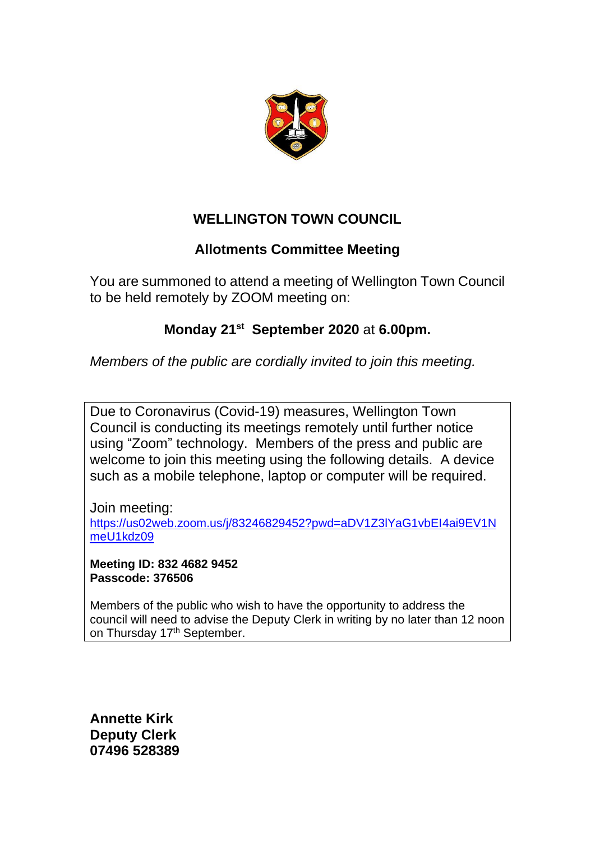

## **WELLINGTON TOWN COUNCIL**

## **Allotments Committee Meeting**

You are summoned to attend a meeting of Wellington Town Council to be held remotely by ZOOM meeting on:

## **Monday 21st September 2020** at **6.00pm.**

*Members of the public are cordially invited to join this meeting.*

Due to Coronavirus (Covid-19) measures, Wellington Town Council is conducting its meetings remotely until further notice using "Zoom" technology. Members of the press and public are welcome to join this meeting using the following details. A device such as a mobile telephone, laptop or computer will be required.

Join meeting: [https://us02web.zoom.us/j/83246829452?pwd=aDV1Z3lYaG1vbEI4ai9EV1N](https://us02web.zoom.us/j/83246829452?pwd=aDV1Z3lYaG1vbEI4ai9EV1NmeU1kdz09) [meU1kdz09](https://us02web.zoom.us/j/83246829452?pwd=aDV1Z3lYaG1vbEI4ai9EV1NmeU1kdz09)

**Meeting ID: 832 4682 9452 Passcode: 376506**

Members of the public who wish to have the opportunity to address the council will need to advise the Deputy Clerk in writing by no later than 12 noon on Thursday 17<sup>th</sup> September.

**Annette Kirk Deputy Clerk 07496 528389**